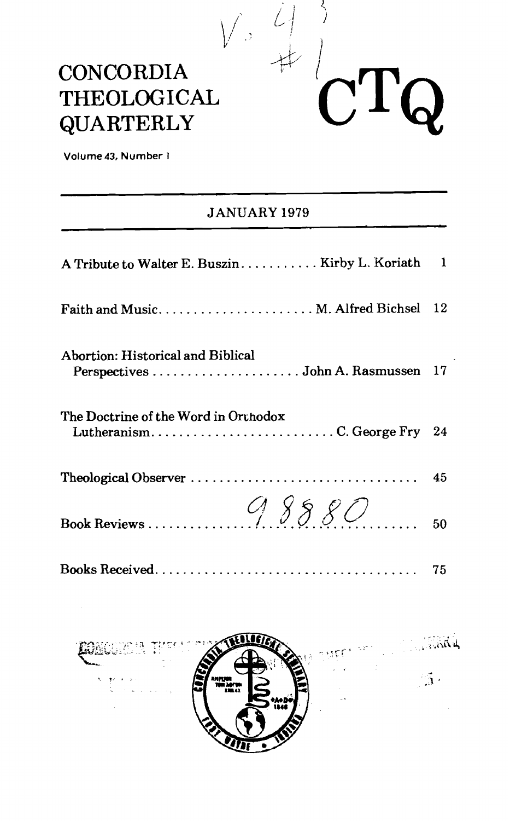# **CONCORDIA** THEOLOGICAL **QUARTERLY**



Volume 43, Number 1

### **JANUARY 1979**

| A Tribute to Walter E. Buszin Kirby L. Koriath 1                    |  |
|---------------------------------------------------------------------|--|
| Faith and Music M. Alfred Bichsel 12                                |  |
| Abortion: Historical and Biblical                                   |  |
| The Doctrine of the Word in Orthodox<br>LutheranismC. George Fry 24 |  |
|                                                                     |  |
|                                                                     |  |
|                                                                     |  |

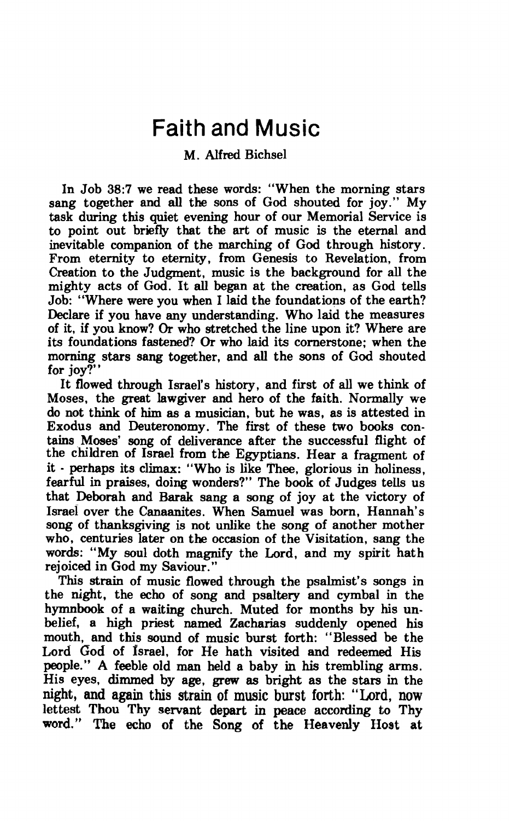## Faith and Music

### <sup>M</sup>. **AIfred** Bichsel

In Job **38:7** we read these words: "When the morning stars sang together and **all** the sons of God shouted for joy." My task during this quiet evening hour of our Memorial Service is to point out briefly that the art of music is the eternal and inevitable companion of the marching of God through history. From eternity to eternity, from Genesis to Revelation, from Creation to the Judgment, music is the background for all the mighty acts of God. It **all** began at the creation, as God tells Job: "Where were you when I laid the foundat ions of the earth? Declare if you have any understanding. Who laid the measures of it, if you know? Or who stretched the line upon it? Where are its foundations fastened? Or who laid its cornerstone; when the morning stars sang together, and **all** the sons of God shouted for joy?"

It flowed through Israel's history, and first of all we think of Moses, the great lawgiver and hero of the faith. Normally we do not think of him **as** a musician, but he was, as is attested in Exodus and Deuteronomy. The first of these two books contains Moses' **song** of deliverance after the successful flight of the children of Israel from the Egyptians. Hear a fragment of it - perhaps its climax: "Who is like Thee, glorious in holiness, fearful in praises, doing wonders?" The **book** of Judges tells us that Deborah and Barak sang a song of joy at the victory of Israel over the Canaanites. When Samuel was **born,** Hannah's song of thanksgiving is not unlike the song of another mother who, centuries later on the occasion of the Visitation, sang the words: "My soul doth magnify the Lord, and my spirit hath rejoiced in God my Saviour."

This strain of music flowed through the psalmist's songs in the night, the echo of song and psaltery and cymbal in the hymnbook of a waiting church. Muted for months by his unbelief, a high priest named Zacharias suddenly opened his mouth, and this sound of music burst forth: "Blessed be the Lord God of Israel, for He hath visited and redeemed His people." **A** feeble old man held a baby in **his** trembling arms. His eyes, dimmed by age, **grew as** bright as the stars in the night, and again this strain of **music** burst forth: "Lord, now lettest Thou Thy **servant** depart in **peace according** to **Thy word."** The **echo of** the **Song** of **the** Heavenly **Host at**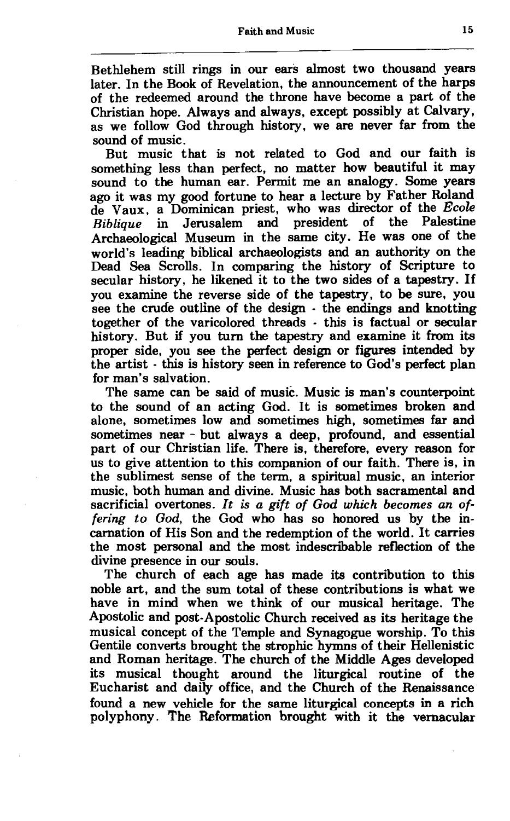Bethlehem still rings in our ears almost two thousand years later. In the Book of Revelation, the announcement of the harps of the redeemed around the throne have become a part of the Christian hope. Always and always, except possibly at Calvary, as we follow God through history, we are never far from the sound of music.

But music that is not related to God and our faith is something less than perfect, no matter how beautiful it may sound to the human ear. Permit me an analogy. Some years ago it was my good fortune to hear a lecture by Father Roland de Vaux, a Dominican priest, who was director of the *Ecole Biblique* in Jerusalem and president of the Palestine Archaeological Museum in the same city. He was one of the world's leading biblical archaeologists and an authority on the Dead Sea Scrolls. In comparing the history of Scripture to secular history, he likened it to the two sides of a tapestry. If you examine the reverse side of the tapestry, to be sure, you see the crude outline of the design - the endings and knotting together of the varicolored threads - this is factual or secular history. But if you turn the tapestry and examine it from its proper side, you **see** the perfect design or figures intended by the artist - this is history seen in reference to God's perfect plan for man's salvation.

The same can be said of music. Music is man's counterpoint to the sound of an acting God. It is sometimes broken and alone, sometimes low and sometimes high, sometimes far and sometimes near - but always a deep, profound, and essential part of our Christian life. There is, therefore, every reason for us to give attention to this companion of our faith. There is, in the sublimest sense of the term, a spiritual music, an interior music, both human and divine. Music **has** both sacramental and sacrificial overtones. It *is* a *gift of God which becomes an offering to God,* the God who has so honored us by the incarnation of His Son and the redemption of the world. It carries the most personal and the most indescribable reflection of the divine presence in our souls.

The church of each age has made its contribution to this noble art, and the sum total of these contributions is what we have in mind when we think of our musical heritage. The Apostolic and post-Apostolic Church received as its heritage the musical concept of the Temple and Synagogue worship. To this Gentile converts brought the strophic hymns of their Hellenistic and Roman heritage. The church of the Middle Ages developed its musical thought around the liturgical routine of the Eucharist and daily office, and the Church of the Renaissance found a new vehicle for the same liturgical concepts in a rich polyphony. The Reformation brought with it the vernacular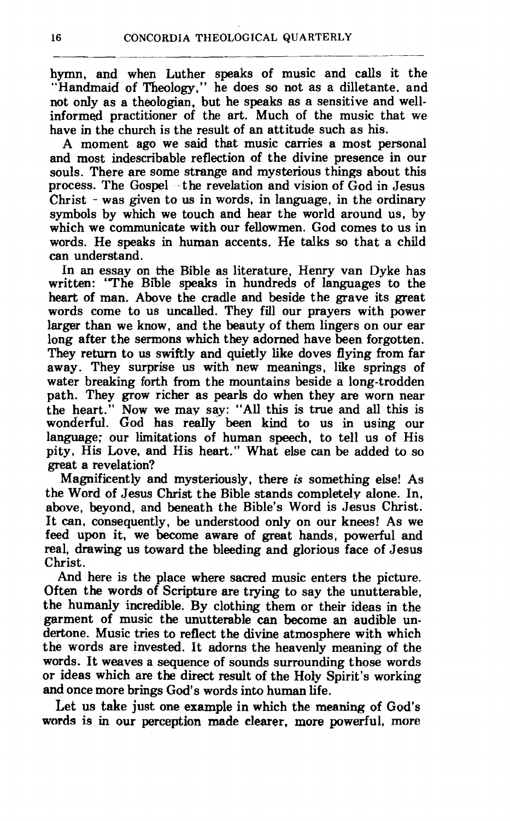hymn, and when Luther speaks of music and calls it the "Handmaid of Theology," he does so not as a dilletante. and not onIy as a theologian, but he speaks as a sensitive and wellinformed practitioner of the art. Much of the music that we have in the church is the result of an attitude such as his.

A moment ago we said that music carries a most personal and most indescribable reflection of the divine presence in our souls. There are some strange and mysterious things about this process. The Gospel - the revelation and vision of God in Jesus Christ - was given to us in words, in language, in the ordinary symbols by which we touch and hear the world around us, by which we communicate with our fellowmen. God comes to us in words. He speaks in human accents. He talks so that a child can understand.

In an essay on the Bible as literature, Henry van Dyke has written: 'The Bible speaks in hundreds of languages to the heart of man. Above the cradle and beside the grave its great words come to us uncalled. They fill our prayers with power larger than we know, and the beauty of them lingers on our ear long after the sermons which they adorned have been forgotten. They return to us swiftly and quietly like doves flying from far away. They surprise us with new meanings, like springs of water breaking forth from the mountains beside a long-trodden path. They grow richer as pearls do when they are worn near the heart." Now we may say: "All this is true and all this is wonderful. God has really been kind to us in using our language; our limitations of human speech, to tell us of His pity, His Love, and His heart." What else can be added to so great a revelation?

Magnificently and mysteriously, there is something else! As the Word of Jesus Christ the Bible stands completely alone. In, above, beyond, and beneath the Bible's Word is Jesus Christ. It can, consequently, be understood only on our knees! As we feed upon it, we become aware of great hands, powerful and real, drawing us toward the bleeding and glorious face of Jesus Christ.

And here is the place where sacred music enters the picture. Often the words of Scripture are trying to say the unutterable, the humanly incredible. By clothing them or their ideas in the garment of music the unutterable can become an audible undertone. Music tries to reflect the divine atmosphere with which the words are invested. It adorns the heavenly meaning of the words. It weaves a sequence of sounds surrounding those words or ideas which are the direct result of the Holy Spirit's working and once more brings God's words into human life.

Let us take **just** one **example** in which the **meaning** of God's **words** is in our perception made clearer, more powerful, more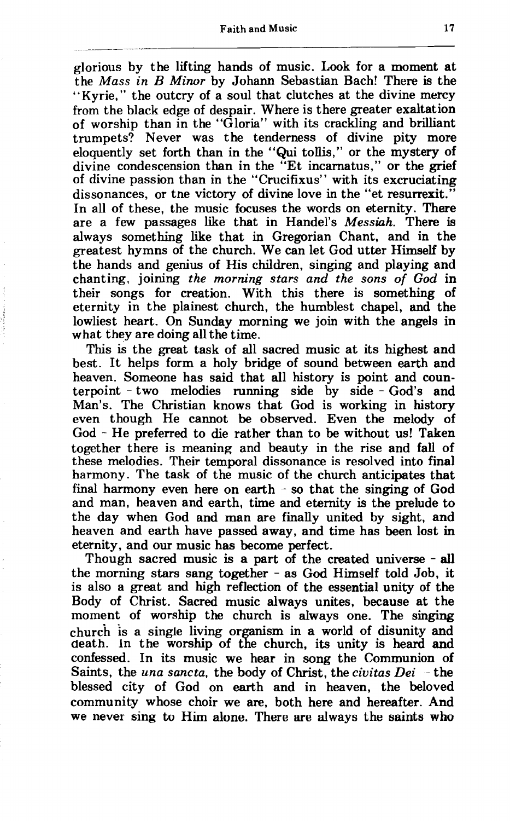#### **Faith and Music 17**

glorious by the lifting hands of music. **Look** for a moment at the *Mass in* B *Minor* by Johann Sebastian Bach! There is the "Kyrie," the outcry of a soul that clutches at the divine mercy from the black edge of despair. Where is there greater exaltation of worship than in the "Gloria" with its crackling and brilliant trumpets? Never was the tenderness of divine pity more eloquently set forth than in the "Qui tollis," or the mystery of divine condescension than in the "Et incarnatus," or the grief of divine passion than in the "Crucifixus" with its excruciating dissonances, or tne victory of divine love in the "et resurrexit." In all of these, the music focuses the words on eternity. There are a few passages like that in Handel's *Messiah.* There is always something like that in Gregorian Chant, and in the greatest hymns of the church. We can let God utter Himself by the hands and genius of His children, singing and playing and chanting, joining *the morning stars and the sons of God* in their songs for creation. With this there is something of eternity in the plainest church, the humblest chapel, and the lowliest heart. On Sunday morning we join with the angels in what they are doing all the time.

This is the great task of all sacred music at its highest and best. It helps form a holy bridge of sound between earth and heaven. Someone has said that all history is point and counterpoint - two melodies running side by side - God's and Man's. The Christian knows that God is working in history even though He cannot be observed. Even the melody of God - He preferred to die rather than to be without us! Taken together there is meaning and beauty in the rise and fall of these melodies. Their temporal dissonance is resolved into final harmony. The task of the music of the church anticipates that final harmony even here on earth  $\sim$  so that the singing of God and man, heaven and earth, time and eternity is the prelude to the day when God and man are finally united by sight, and heaven and earth have passed away, and time has been lost in eternity, and our music has become perfect.

Though sacred music is a part of the created universe - all the morning stars sang together - as God Himself told Job, it is also a great and high reflection of the essential unity of the Body of Christ. Sacred music always unites, because at the moment of worship the church is always one. The singing churc'h is a single living organism in a world of disunity and death. In the worship of the church, its unity is heard and confessed. In its music we hear in song the Communion of Saints, the *una sancta,* the body of Christ, the *civitas Dei* - the blessed city of God on earth and in heaven, the beloved community whose choir we are, both here and hereafter. And we never sing to Him alone. There are always the saints who